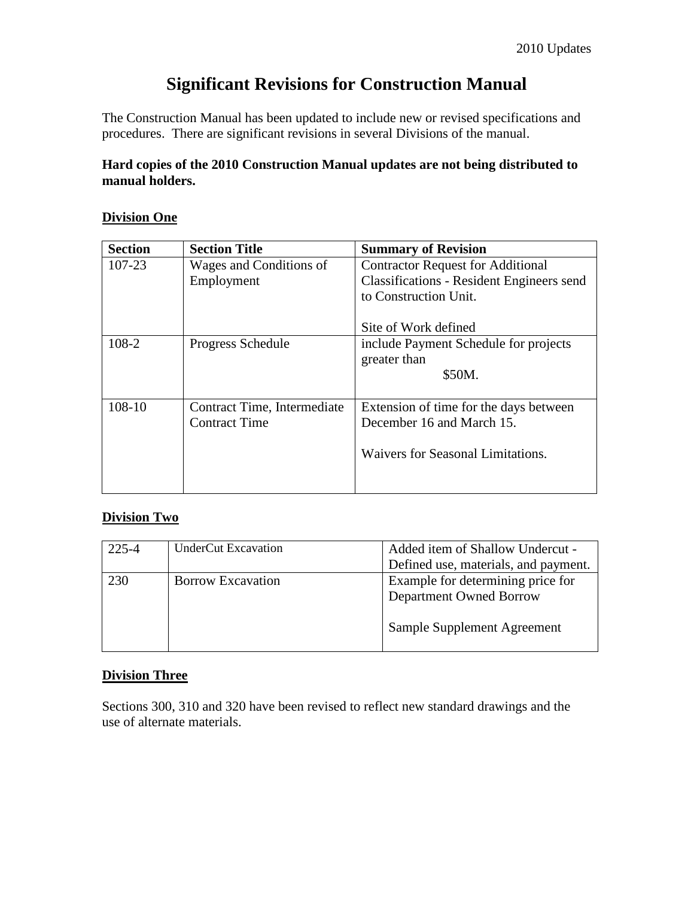# **Significant Revisions for Construction Manual**

The Construction Manual has been updated to include new or revised specifications and procedures. There are significant revisions in several Divisions of the manual.

#### **Hard copies of the 2010 Construction Manual updates are not being distributed to manual holders.**

#### **Division One**

| <b>Section</b> | <b>Section Title</b>        | <b>Summary of Revision</b>                       |
|----------------|-----------------------------|--------------------------------------------------|
| 107-23         | Wages and Conditions of     | <b>Contractor Request for Additional</b>         |
|                | Employment                  | <b>Classifications - Resident Engineers send</b> |
|                |                             | to Construction Unit.                            |
|                |                             |                                                  |
|                |                             | Site of Work defined                             |
| 108-2          | Progress Schedule           | include Payment Schedule for projects            |
|                |                             | greater than                                     |
|                |                             | \$50M.                                           |
|                |                             |                                                  |
| 108-10         | Contract Time, Intermediate | Extension of time for the days between           |
|                | <b>Contract Time</b>        | December 16 and March 15.                        |
|                |                             |                                                  |
|                |                             | Waivers for Seasonal Limitations.                |
|                |                             |                                                  |
|                |                             |                                                  |

#### **Division Two**

| 225-4 | <b>UnderCut Excavation</b> | Added item of Shallow Undercut -                                    |
|-------|----------------------------|---------------------------------------------------------------------|
|       |                            | Defined use, materials, and payment.                                |
| 230   | <b>Borrow Excavation</b>   | Example for determining price for<br><b>Department Owned Borrow</b> |
|       |                            | Sample Supplement Agreement                                         |

#### **Division Three**

Sections 300, 310 and 320 have been revised to reflect new standard drawings and the use of alternate materials.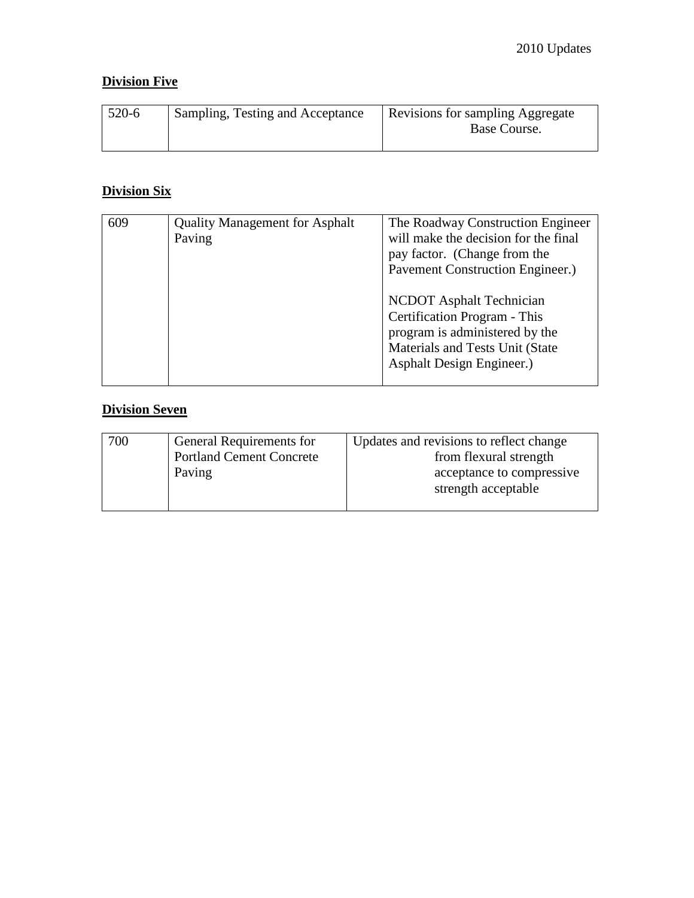### **Division Five**

| $520-6$ | Sampling, Testing and Acceptance | Revisions for sampling Aggregate<br>Base Course. |
|---------|----------------------------------|--------------------------------------------------|
|---------|----------------------------------|--------------------------------------------------|

# **Division Six**

| 609 | <b>Quality Management for Asphalt</b><br>Paving | The Roadway Construction Engineer<br>will make the decision for the final<br>pay factor. (Change from the<br>Pavement Construction Engineer.)                     |
|-----|-------------------------------------------------|-------------------------------------------------------------------------------------------------------------------------------------------------------------------|
|     |                                                 | <b>NCDOT</b> Asphalt Technician<br>Certification Program - This<br>program is administered by the<br>Materials and Tests Unit (State<br>Asphalt Design Engineer.) |

# **Division Seven**

| 700 | General Requirements for<br><b>Portland Cement Concrete</b> | Updates and revisions to reflect change<br>from flexural strength |
|-----|-------------------------------------------------------------|-------------------------------------------------------------------|
|     | Paving                                                      | acceptance to compressive<br>strength acceptable                  |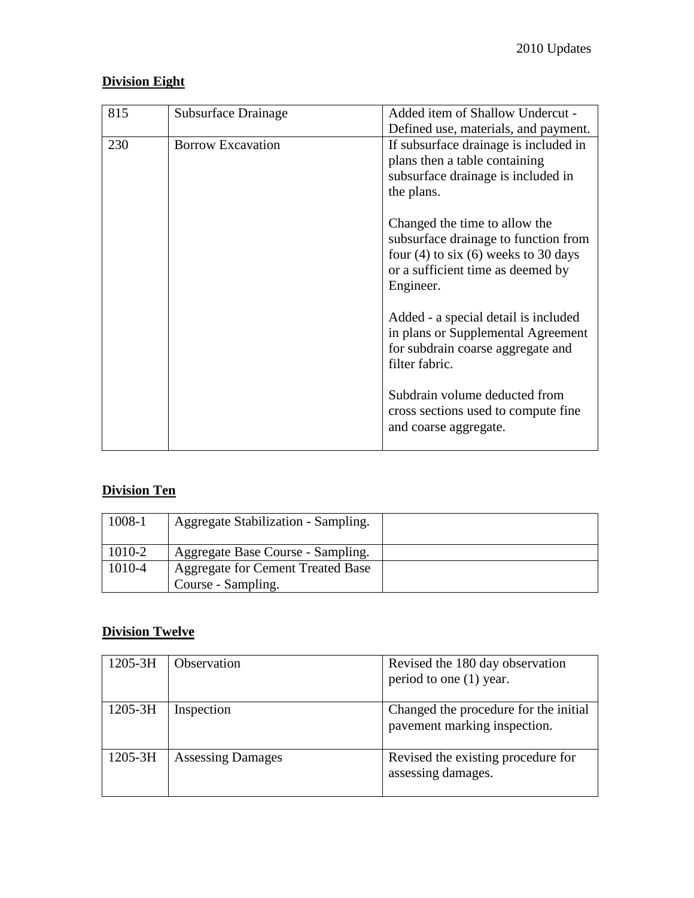### **Division Eight**

| 815 | Subsurface Drainage      | Added item of Shallow Undercut -<br>Defined use, materials, and payment.                                                                                            |
|-----|--------------------------|---------------------------------------------------------------------------------------------------------------------------------------------------------------------|
| 230 | <b>Borrow Excavation</b> | If subsurface drainage is included in<br>plans then a table containing<br>subsurface drainage is included in<br>the plans.                                          |
|     |                          | Changed the time to allow the<br>subsurface drainage to function from<br>four $(4)$ to six $(6)$ weeks to 30 days<br>or a sufficient time as deemed by<br>Engineer. |
|     |                          | Added - a special detail is included<br>in plans or Supplemental Agreement<br>for subdrain coarse aggregate and<br>filter fabric.                                   |
|     |                          | Subdrain volume deducted from<br>cross sections used to compute fine<br>and coarse aggregate.                                                                       |

# **Division Ten**

| 1008-1 | Aggregate Stabilization - Sampling.                     |  |
|--------|---------------------------------------------------------|--|
| 1010-2 | Aggregate Base Course - Sampling.                       |  |
| 1010-4 | Aggregate for Cement Treated Base<br>Course - Sampling. |  |

### **Division Twelve**

| $1205 - 3H$ | <b>Observation</b>       | Revised the 180 day observation<br>period to one (1) year.            |
|-------------|--------------------------|-----------------------------------------------------------------------|
| 1205-3H     | Inspection               | Changed the procedure for the initial<br>pavement marking inspection. |
| 1205-3H     | <b>Assessing Damages</b> | Revised the existing procedure for<br>assessing damages.              |